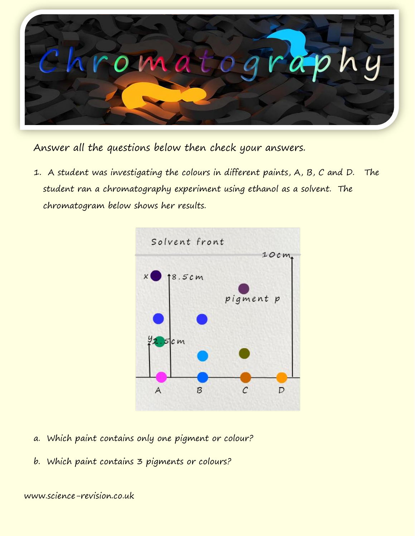

Answer all the questions below then check your answers.

1. A student was investigating the colours in different paints, A, B, C and D. The student ran a chromatography experiment using ethanol as a solvent. The chromatogram below shows her results.



- a. Which paint contains only one pigment or colour?
- b. Which paint contains 3 pigments or colours?

www.science-revision.co.uk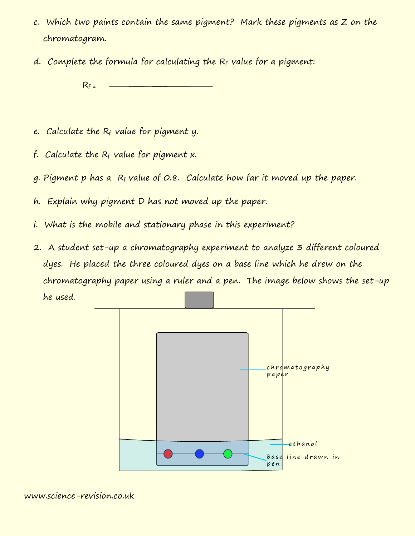- c. Which two paints contain the same pigment? Mark these pigments as Z on the chromatogram.
- d. Complete the formula for calculating the  $R_f$  value for a pigment:

 $R_f =$ 

- $e.$  Calculate the  $R_f$  value for pigment y.
- f. Calculate the  $R_f$  value for pigment x.
- $g.$  Pigment p has a  $R_f$  value of  $O.8.$  Calculate how far it moved up the paper.
- h. Explain why pigment D has not moved up the paper.
- i. What is the mobile and stationary phase in this experiment?
- 2. A student set-up a chromatography experiment to analyze 3 different coloured dyes. He placed the three coloured dyes on a base line which he drew on the chromatography paper using a ruler and a pen. The image below shows the set-up he used.

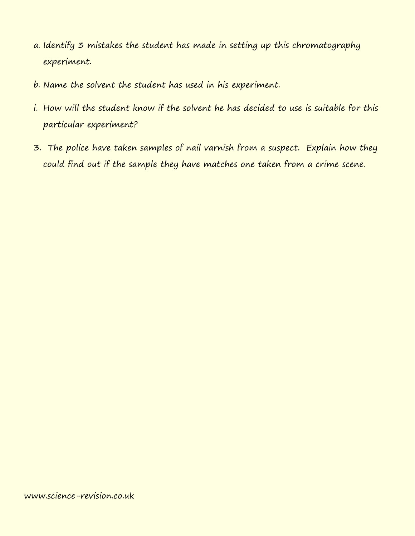- a. Identify 3 mistakes the student has made in setting up this chromatography experiment.
- b. Name the solvent the student has used in his experiment.
- i. How will the student know if the solvent he has decided to use is suitable for this particular experiment?
- 3. The police have taken samples of nail varnish from a suspect. Explain how they could find out if the sample they have matches one taken from a crime scene.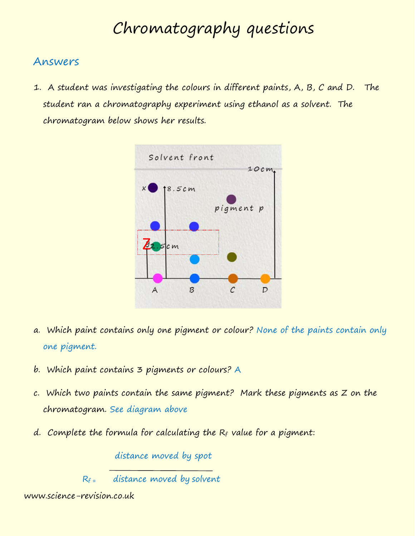## Chromatography questions

## Answers

1. A student was investigating the colours in different paints, A, B, C and D. The student ran a chromatography experiment using ethanol as a solvent. The chromatogram below shows her results.



- a. Which paint contains only one pigment or colour? None of the paints contain only one pigment.
- b. Which paint contains 3 pigments or colours? A
- c. Which two paints contain the same pigment? Mark these pigments as Z on the chromatogram. See diagram above
- d. Complete the formula for calculating the  $R_f$  value for a pigment:

distance moved by spot

 $R_f$  = distance moved by solvent

www.science-revision.co.uk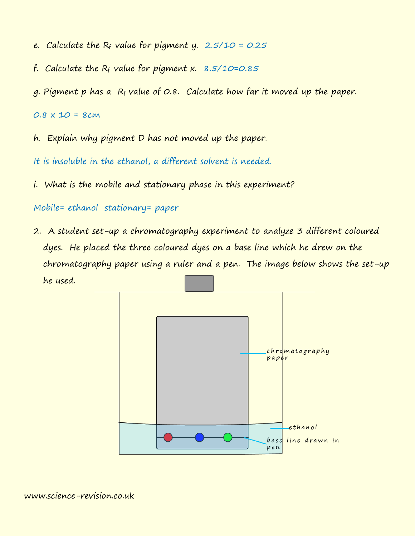- e. Calculate the  $R_f$  value for pigment y. 2.5/10 = 0.25
- f. Calculate the  $R_f$  value for pigment x. 8.5/10=0.85
- g. Pigment p has a R<sup>f</sup> value of 0.8. Calculate how far it moved up the paper.

 $0.8 \times 10 = 8cm$ 

h. Explain why pigment D has not moved up the paper.

It is insoluble in the ethanol, a different solvent is needed.

i. What is the mobile and stationary phase in this experiment?

Mobile= ethanol stationary= paper

2. A student set-up a chromatography experiment to analyze 3 different coloured dyes. He placed the three coloured dyes on a base line which he drew on the chromatography paper using a ruler and a pen. The image below shows the set-up he used.

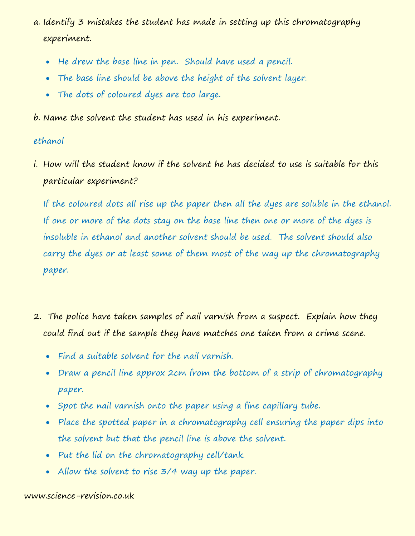- a. Identify 3 mistakes the student has made in setting up this chromatography experiment.
	- He drew the base line in pen. Should have used a pencil.
	- The base line should be above the height of the solvent layer.
	- The dots of coloured dyes are too large.

b. Name the solvent the student has used in his experiment.

## ethanol

i. How will the student know if the solvent he has decided to use is suitable for this particular experiment?

If the coloured dots all rise up the paper then all the dyes are soluble in the ethanol. If one or more of the dots stay on the base line then one or more of the dyes is insoluble in ethanol and another solvent should be used. The solvent should also carry the dyes or at least some of them most of the way up the chromatography paper.

- 2. The police have taken samples of nail varnish from a suspect. Explain how they could find out if the sample they have matches one taken from a crime scene.
	- Find a suitable solvent for the nail varnish.
	- Draw a pencil line approx 2cm from the bottom of a strip of chromatography paper.
	- Spot the nail varnish onto the paper using a fine capillary tube.
	- Place the spotted paper in a chromatography cell ensuring the paper dips into the solvent but that the pencil line is above the solvent.
	- Put the lid on the chromatography cell/tank.
	- Allow the solvent to rise 3/4 way up the paper.

## www.science-revision.co.uk